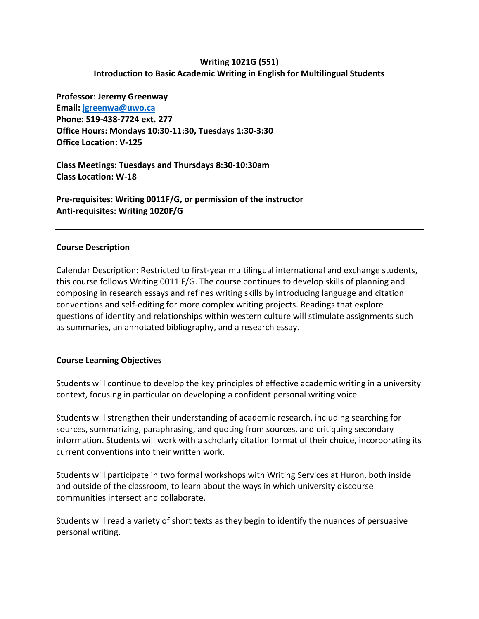# **Writing 1021G (551) Introduction to Basic Academic Writing in English for Multilingual Students**

**Professor**: **Jeremy Greenway Email: [jgreenwa@uwo.ca](mailto:jgreenwa@uwo.ca) Phone: 519-438-7724 ext. 277 Office Hours: Mondays 10:30-11:30, Tuesdays 1:30-3:30 Office Location: V-125**

**Class Meetings: Tuesdays and Thursdays 8:30-10:30am Class Location: W-18**

**Pre-requisites: Writing 0011F/G, or permission of the instructor Anti-requisites: Writing 1020F/G**

# **Course Description**

Calendar Description: Restricted to first-year multilingual international and exchange students, this course follows Writing 0011 F/G. The course continues to develop skills of planning and composing in research essays and refines writing skills by introducing language and citation conventions and self-editing for more complex writing projects. Readings that explore questions of identity and relationships within western culture will stimulate assignments such as summaries, an annotated bibliography, and a research essay.

### **Course Learning Objectives**

Students will continue to develop the key principles of effective academic writing in a university context, focusing in particular on developing a confident personal writing voice

Students will strengthen their understanding of academic research, including searching for sources, summarizing, paraphrasing, and quoting from sources, and critiquing secondary information. Students will work with a scholarly citation format of their choice, incorporating its current conventions into their written work.

Students will participate in two formal workshops with Writing Services at Huron, both inside and outside of the classroom, to learn about the ways in which university discourse communities intersect and collaborate.

Students will read a variety of short texts as they begin to identify the nuances of persuasive personal writing.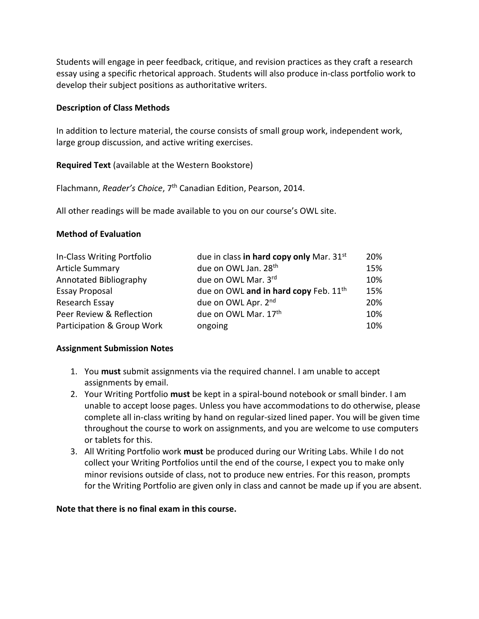Students will engage in peer feedback, critique, and revision practices as they craft a research essay using a specific rhetorical approach. Students will also produce in-class portfolio work to develop their subject positions as authoritative writers.

### **Description of Class Methods**

In addition to lecture material, the course consists of small group work, independent work, large group discussion, and active writing exercises.

# **Required Text** (available at the Western Bookstore)

Flachmann, *Reader's Choice*, 7th Canadian Edition, Pearson, 2014.

All other readings will be made available to you on our course's OWL site.

### **Method of Evaluation**

| In-Class Writing Portfolio | due in class in hard copy only Mar. $31^{st}$     | 20% |
|----------------------------|---------------------------------------------------|-----|
| <b>Article Summary</b>     | due on OWL Jan. 28 <sup>th</sup>                  | 15% |
| Annotated Bibliography     | due on OWL Mar. 3rd                               | 10% |
| <b>Essay Proposal</b>      | due on OWL and in hard copy Feb. 11 <sup>th</sup> | 15% |
| Research Essay             | due on OWL Apr. 2nd                               | 20% |
| Peer Review & Reflection   | due on OWL Mar. 17th                              | 10% |
| Participation & Group Work | ongoing                                           | 10% |

### **Assignment Submission Notes**

- 1. You **must** submit assignments via the required channel. I am unable to accept assignments by email.
- 2. Your Writing Portfolio **must** be kept in a spiral-bound notebook or small binder. I am unable to accept loose pages. Unless you have accommodations to do otherwise, please complete all in-class writing by hand on regular-sized lined paper. You will be given time throughout the course to work on assignments, and you are welcome to use computers or tablets for this.
- 3. All Writing Portfolio work **must** be produced during our Writing Labs. While I do not collect your Writing Portfolios until the end of the course, I expect you to make only minor revisions outside of class, not to produce new entries. For this reason, prompts for the Writing Portfolio are given only in class and cannot be made up if you are absent.

### **Note that there is no final exam in this course.**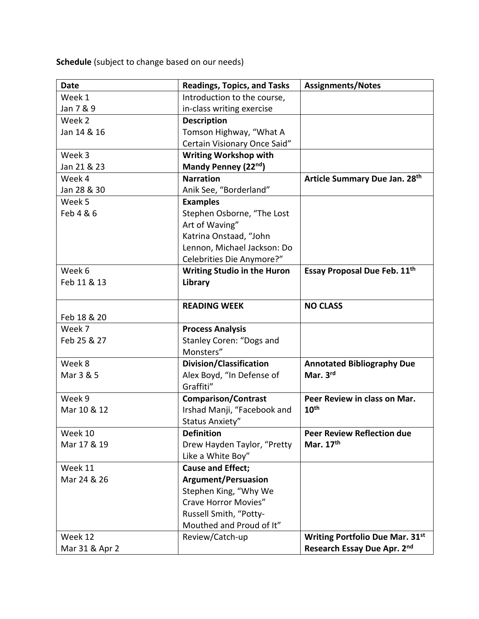**Schedule** (subject to change based on our needs)

| <b>Date</b>    | <b>Readings, Topics, and Tasks</b> | <b>Assignments/Notes</b>               |
|----------------|------------------------------------|----------------------------------------|
| Week 1         | Introduction to the course,        |                                        |
| Jan 7 & 9      | in-class writing exercise          |                                        |
| Week 2         | <b>Description</b>                 |                                        |
| Jan 14 & 16    | Tomson Highway, "What A            |                                        |
|                | Certain Visionary Once Said"       |                                        |
| Week 3         | <b>Writing Workshop with</b>       |                                        |
| Jan 21 & 23    | Mandy Penney (22nd)                |                                        |
| Week 4         | <b>Narration</b>                   | Article Summary Due Jan. 28th          |
| Jan 28 & 30    | Anik See, "Borderland"             |                                        |
| Week 5         | <b>Examples</b>                    |                                        |
| Feb 4 & 6      | Stephen Osborne, "The Lost         |                                        |
|                | Art of Waving"                     |                                        |
|                | Katrina Onstaad, "John             |                                        |
|                | Lennon, Michael Jackson: Do        |                                        |
|                | Celebrities Die Anymore?"          |                                        |
| Week 6         | <b>Writing Studio in the Huron</b> | Essay Proposal Due Feb. 11th           |
| Feb 11 & 13    | Library                            |                                        |
|                |                                    |                                        |
|                | <b>READING WEEK</b>                | <b>NO CLASS</b>                        |
| Feb 18 & 20    |                                    |                                        |
| Week 7         | <b>Process Analysis</b>            |                                        |
| Feb 25 & 27    | Stanley Coren: "Dogs and           |                                        |
|                | Monsters"                          |                                        |
| Week 8         | Division/Classification            | <b>Annotated Bibliography Due</b>      |
| Mar 3 & 5      | Alex Boyd, "In Defense of          | Mar. 3rd                               |
|                | Graffiti"                          |                                        |
| Week 9         | <b>Comparison/Contrast</b>         | Peer Review in class on Mar.           |
| Mar 10 & 12    | Irshad Manji, "Facebook and        | 10 <sup>th</sup>                       |
|                | <b>Status Anxiety"</b>             |                                        |
| Week 10        | <b>Definition</b>                  | <b>Peer Review Reflection due</b>      |
| Mar 17 & 19    | Drew Hayden Taylor, "Pretty        | Mar. 17th                              |
|                | Like a White Boy"                  |                                        |
| Week 11        | <b>Cause and Effect;</b>           |                                        |
| Mar 24 & 26    | <b>Argument/Persuasion</b>         |                                        |
|                | Stephen King, "Why We              |                                        |
|                | <b>Crave Horror Movies"</b>        |                                        |
|                | Russell Smith, "Potty-             |                                        |
|                | Mouthed and Proud of It"           |                                        |
| Week 12        | Review/Catch-up                    | <b>Writing Portfolio Due Mar. 31st</b> |
| Mar 31 & Apr 2 |                                    | Research Essay Due Apr. 2nd            |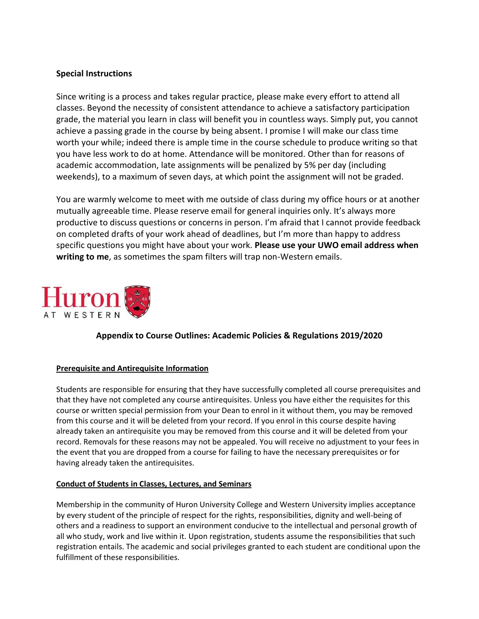### **Special Instructions**

Since writing is a process and takes regular practice, please make every effort to attend all classes. Beyond the necessity of consistent attendance to achieve a satisfactory participation grade, the material you learn in class will benefit you in countless ways. Simply put, you cannot achieve a passing grade in the course by being absent. I promise I will make our class time worth your while; indeed there is ample time in the course schedule to produce writing so that you have less work to do at home. Attendance will be monitored. Other than for reasons of academic accommodation, late assignments will be penalized by 5% per day (including weekends), to a maximum of seven days, at which point the assignment will not be graded.

You are warmly welcome to meet with me outside of class during my office hours or at another mutually agreeable time. Please reserve email for general inquiries only. It's always more productive to discuss questions or concerns in person. I'm afraid that I cannot provide feedback on completed drafts of your work ahead of deadlines, but I'm more than happy to address specific questions you might have about your work. **Please use your UWO email address when writing to me**, as sometimes the spam filters will trap non-Western emails.



# **Appendix to Course Outlines: Academic Policies & Regulations 2019/2020**

### **Prerequisite and Antirequisite Information**

Students are responsible for ensuring that they have successfully completed all course prerequisites and that they have not completed any course antirequisites. Unless you have either the requisites for this course or written special permission from your Dean to enrol in it without them, you may be removed from this course and it will be deleted from your record. If you enrol in this course despite having already taken an antirequisite you may be removed from this course and it will be deleted from your record. Removals for these reasons may not be appealed. You will receive no adjustment to your fees in the event that you are dropped from a course for failing to have the necessary prerequisites or for having already taken the antirequisites.

### **Conduct of Students in Classes, Lectures, and Seminars**

Membership in the community of Huron University College and Western University implies acceptance by every student of the principle of respect for the rights, responsibilities, dignity and well-being of others and a readiness to support an environment conducive to the intellectual and personal growth of all who study, work and live within it. Upon registration, students assume the responsibilities that such registration entails. The academic and social privileges granted to each student are conditional upon the fulfillment of these responsibilities.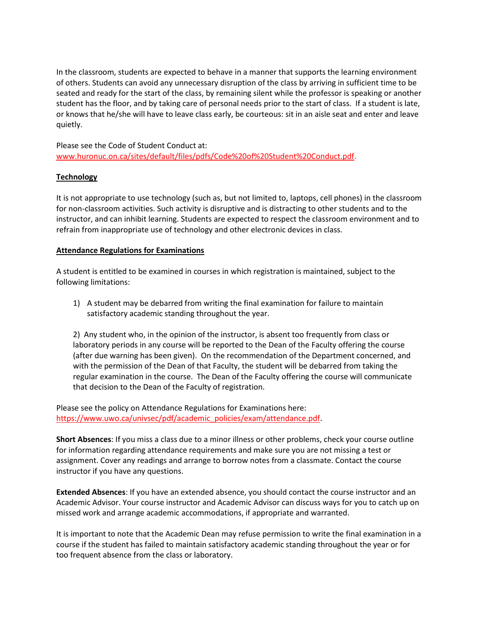In the classroom, students are expected to behave in a manner that supports the learning environment of others. Students can avoid any unnecessary disruption of the class by arriving in sufficient time to be seated and ready for the start of the class, by remaining silent while the professor is speaking or another student has the floor, and by taking care of personal needs prior to the start of class. If a student is late, or knows that he/she will have to leave class early, be courteous: sit in an aisle seat and enter and leave quietly.

Please see the Code of Student Conduct at: [www.huronuc.on.ca/sites/default/files/pdfs/Code%20of%20Student%20Conduct.pdf.](http://www.huronuc.on.ca/sites/default/files/pdfs/Code%20of%20Student%20Conduct.pdf)

### **Technology**

It is not appropriate to use technology (such as, but not limited to, laptops, cell phones) in the classroom for non-classroom activities. Such activity is disruptive and is distracting to other students and to the instructor, and can inhibit learning. Students are expected to respect the classroom environment and to refrain from inappropriate use of technology and other electronic devices in class.

### **Attendance Regulations for Examinations**

A student is entitled to be examined in courses in which registration is maintained, subject to the following limitations:

1) A student may be debarred from writing the final examination for failure to maintain satisfactory academic standing throughout the year.

2) Any student who, in the opinion of the instructor, is absent too frequently from class or laboratory periods in any course will be reported to the Dean of the Faculty offering the course (after due warning has been given). On the recommendation of the Department concerned, and with the permission of the Dean of that Faculty, the student will be debarred from taking the regular examination in the course. The Dean of the Faculty offering the course will communicate that decision to the Dean of the Faculty of registration.

Please see the policy on Attendance Regulations for Examinations here: [https://www.uwo.ca/univsec/pdf/academic\\_policies/exam/attendance.pdf.](https://www.uwo.ca/univsec/pdf/academic_policies/exam/attendance.pdf)

**Short Absences**: If you miss a class due to a minor illness or other problems, check your course outline for information regarding attendance requirements and make sure you are not missing a test or assignment. Cover any readings and arrange to borrow notes from a classmate. Contact the course instructor if you have any questions.

**Extended Absences**: If you have an extended absence, you should contact the course instructor and an Academic Advisor. Your course instructor and Academic Advisor can discuss ways for you to catch up on missed work and arrange academic accommodations, if appropriate and warranted.

It is important to note that the Academic Dean may refuse permission to write the final examination in a course if the student has failed to maintain satisfactory academic standing throughout the year or for too frequent absence from the class or laboratory.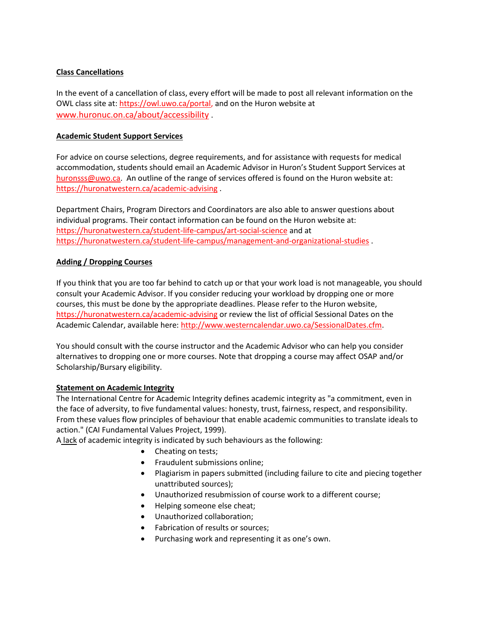### **Class Cancellations**

In the event of a cancellation of class, every effort will be made to post all relevant information on the OWL class site at: [https://owl.uwo.ca/portal,](https://owl.uwo.ca/portal) and on the Huron website at [www.huronuc.on.ca/about/accessibility](http://www.huronuc.on.ca/about/accessibility) .

#### **Academic Student Support Services**

For advice on course selections, degree requirements, and for assistance with requests for medical accommodation, students should email an Academic Advisor in Huron's Student Support Services at [huronsss@uwo.ca.](mailto:huronsss@uwo.ca) An outline of the range of services offered is found on the Huron website at: <https://huronatwestern.ca/academic-advising> .

Department Chairs, Program Directors and Coordinators are also able to answer questions about individual programs. Their contact information can be found on the Huron website at: <https://huronatwestern.ca/student-life-campus/art-social-science> and at <https://huronatwestern.ca/student-life-campus/management-and-organizational-studies> .

### **Adding / Dropping Courses**

If you think that you are too far behind to catch up or that your work load is not manageable, you should consult your Academic Advisor. If you consider reducing your workload by dropping one or more courses, this must be done by the appropriate deadlines. Please refer to the Huron website, <https://huronatwestern.ca/academic-advising> or review the list of official Sessional Dates on the Academic Calendar, available here: [http://www.westerncalendar.uwo.ca/SessionalDates.cfm.](http://www.westerncalendar.uwo.ca/SessionalDates.cfm)

You should consult with the course instructor and the Academic Advisor who can help you consider alternatives to dropping one or more courses. Note that dropping a course may affect OSAP and/or Scholarship/Bursary eligibility.

### **Statement on Academic Integrity**

The International Centre for Academic Integrity defines academic integrity as "a commitment, even in the face of adversity, to five fundamental values: honesty, trust, fairness, respect, and responsibility. From these values flow principles of behaviour that enable academic communities to translate ideals to action." (CAI Fundamental Values Project, 1999).

A lack of academic integrity is indicated by such behaviours as the following:

- Cheating on tests;
- Fraudulent submissions online;
- Plagiarism in papers submitted (including failure to cite and piecing together unattributed sources);
- Unauthorized resubmission of course work to a different course;
- Helping someone else cheat;
- Unauthorized collaboration;
- Fabrication of results or sources;
- Purchasing work and representing it as one's own.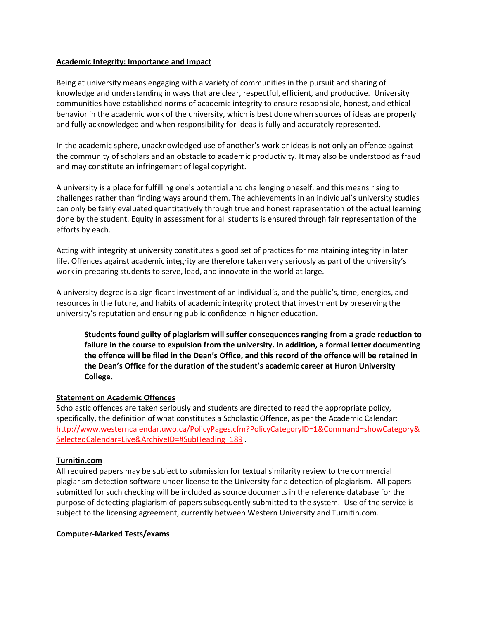#### **Academic Integrity: Importance and Impact**

Being at university means engaging with a variety of communities in the pursuit and sharing of knowledge and understanding in ways that are clear, respectful, efficient, and productive. University communities have established norms of academic integrity to ensure responsible, honest, and ethical behavior in the academic work of the university, which is best done when sources of ideas are properly and fully acknowledged and when responsibility for ideas is fully and accurately represented.

In the academic sphere, unacknowledged use of another's work or ideas is not only an offence against the community of scholars and an obstacle to academic productivity. It may also be understood as fraud and may constitute an infringement of legal copyright.

A university is a place for fulfilling one's potential and challenging oneself, and this means rising to challenges rather than finding ways around them. The achievements in an individual's university studies can only be fairly evaluated quantitatively through true and honest representation of the actual learning done by the student. Equity in assessment for all students is ensured through fair representation of the efforts by each.

Acting with integrity at university constitutes a good set of practices for maintaining integrity in later life. Offences against academic integrity are therefore taken very seriously as part of the university's work in preparing students to serve, lead, and innovate in the world at large.

A university degree is a significant investment of an individual's, and the public's, time, energies, and resources in the future, and habits of academic integrity protect that investment by preserving the university's reputation and ensuring public confidence in higher education.

**Students found guilty of plagiarism will suffer consequences ranging from a grade reduction to failure in the course to expulsion from the university. In addition, a formal letter documenting the offence will be filed in the Dean's Office, and this record of the offence will be retained in the Dean's Office for the duration of the student's academic career at Huron University College.**

### **Statement on Academic Offences**

Scholastic offences are taken seriously and students are directed to read the appropriate policy, specifically, the definition of what constitutes a Scholastic Offence, as per the Academic Calendar: [http://www.westerncalendar.uwo.ca/PolicyPages.cfm?PolicyCategoryID=1&Command=showCategory&](http://www.westerncalendar.uwo.ca/PolicyPages.cfm?PolicyCategoryID=1&Command=showCategory&SelectedCalendar=Live&ArchiveID=#SubHeading_189) [SelectedCalendar=Live&ArchiveID=#SubHeading\\_189](http://www.westerncalendar.uwo.ca/PolicyPages.cfm?PolicyCategoryID=1&Command=showCategory&SelectedCalendar=Live&ArchiveID=#SubHeading_189)

#### **Turnitin.com**

All required papers may be subject to submission for textual similarity review to the commercial plagiarism detection software under license to the University for a detection of plagiarism. All papers submitted for such checking will be included as source documents in the reference database for the purpose of detecting plagiarism of papers subsequently submitted to the system. Use of the service is subject to the licensing agreement, currently between Western University and Turnitin.com.

#### **Computer-Marked Tests/exams**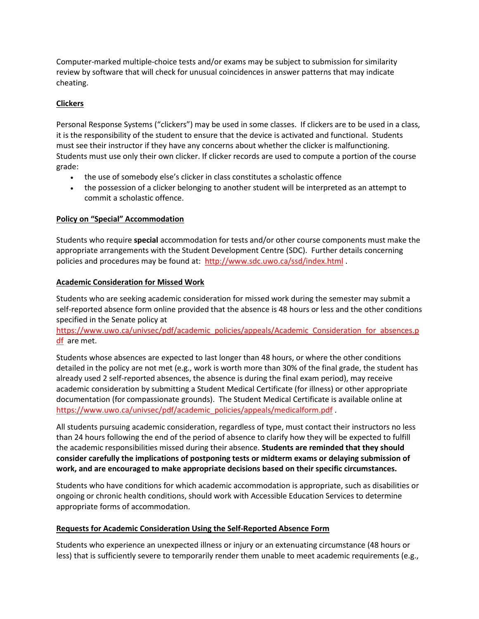Computer-marked multiple-choice tests and/or exams may be subject to submission for similarity review by software that will check for unusual coincidences in answer patterns that may indicate cheating.

### **Clickers**

Personal Response Systems ("clickers") may be used in some classes. If clickers are to be used in a class, it is the responsibility of the student to ensure that the device is activated and functional. Students must see their instructor if they have any concerns about whether the clicker is malfunctioning. Students must use only their own clicker. If clicker records are used to compute a portion of the course grade:

- the use of somebody else's clicker in class constitutes a scholastic offence
- the possession of a clicker belonging to another student will be interpreted as an attempt to commit a scholastic offence.

# **Policy on "Special" Accommodation**

Students who require **special** accommodation for tests and/or other course components must make the appropriate arrangements with the Student Development Centre (SDC). Further details concerning policies and procedures may be found at:<http://www.sdc.uwo.ca/ssd/index.html>.

# **Academic Consideration for Missed Work**

Students who are seeking academic consideration for missed work during the semester may submit a self-reported absence form online provided that the absence is 48 hours or less and the other conditions specified in the Senate policy at

[https://www.uwo.ca/univsec/pdf/academic\\_policies/appeals/Academic\\_Consideration\\_for\\_absences.p](https://www.uwo.ca/univsec/pdf/academic_policies/appeals/Academic_Consideration_for_absences.pdf) [df](https://www.uwo.ca/univsec/pdf/academic_policies/appeals/Academic_Consideration_for_absences.pdf) are met.

Students whose absences are expected to last longer than 48 hours, or where the other conditions detailed in the policy are not met (e.g., work is worth more than 30% of the final grade, the student has already used 2 self-reported absences, the absence is during the final exam period), may receive academic consideration by submitting a Student Medical Certificate (for illness) or other appropriate documentation (for compassionate grounds). The Student Medical Certificate is available online at [https://www.uwo.ca/univsec/pdf/academic\\_policies/appeals/medicalform.pdf](https://www.uwo.ca/univsec/pdf/academic_policies/appeals/medicalform.pdf)

All students pursuing academic consideration, regardless of type, must contact their instructors no less than 24 hours following the end of the period of absence to clarify how they will be expected to fulfill the academic responsibilities missed during their absence. **Students are reminded that they should consider carefully the implications of postponing tests or midterm exams or delaying submission of work, and are encouraged to make appropriate decisions based on their specific circumstances.**

Students who have conditions for which academic accommodation is appropriate, such as disabilities or ongoing or chronic health conditions, should work with Accessible Education Services to determine appropriate forms of accommodation.

### **Requests for Academic Consideration Using the Self-Reported Absence Form**

Students who experience an unexpected illness or injury or an extenuating circumstance (48 hours or less) that is sufficiently severe to temporarily render them unable to meet academic requirements (e.g.,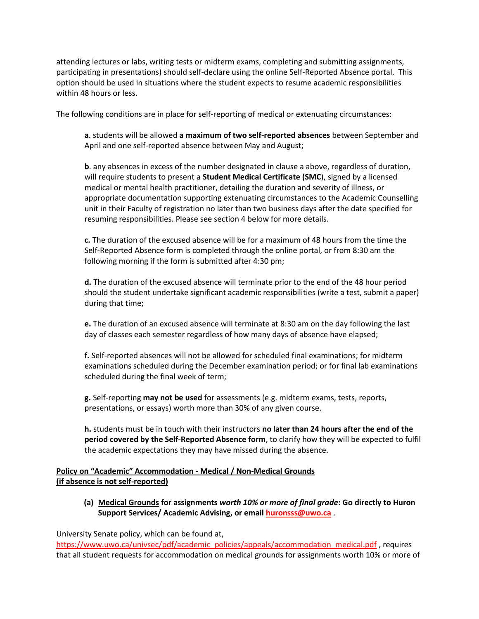attending lectures or labs, writing tests or midterm exams, completing and submitting assignments, participating in presentations) should self-declare using the online Self-Reported Absence portal. This option should be used in situations where the student expects to resume academic responsibilities within 48 hours or less.

The following conditions are in place for self-reporting of medical or extenuating circumstances:

**a**. students will be allowed **a maximum of two self-reported absences** between September and April and one self-reported absence between May and August;

**b**. any absences in excess of the number designated in clause a above, regardless of duration, will require students to present a **Student Medical Certificate (SMC**), signed by a licensed medical or mental health practitioner, detailing the duration and severity of illness, or appropriate documentation supporting extenuating circumstances to the Academic Counselling unit in their Faculty of registration no later than two business days after the date specified for resuming responsibilities. Please see section 4 below for more details.

**c.** The duration of the excused absence will be for a maximum of 48 hours from the time the Self-Reported Absence form is completed through the online portal, or from 8:30 am the following morning if the form is submitted after 4:30 pm;

**d.** The duration of the excused absence will terminate prior to the end of the 48 hour period should the student undertake significant academic responsibilities (write a test, submit a paper) during that time;

**e.** The duration of an excused absence will terminate at 8:30 am on the day following the last day of classes each semester regardless of how many days of absence have elapsed;

**f.** Self-reported absences will not be allowed for scheduled final examinations; for midterm examinations scheduled during the December examination period; or for final lab examinations scheduled during the final week of term;

**g.** Self-reporting **may not be used** for assessments (e.g. midterm exams, tests, reports, presentations, or essays) worth more than 30% of any given course.

**h.** students must be in touch with their instructors **no later than 24 hours after the end of the period covered by the Self-Reported Absence form**, to clarify how they will be expected to fulfil the academic expectations they may have missed during the absence.

### **Policy on "Academic" Accommodation - Medical / Non-Medical Grounds (if absence is not self-reported)**

**(a) Medical Grounds for assignments** *worth 10% or more of final grade***: Go directly to Huron Support Services/ Academic Advising, or email [huronsss@uwo.ca](mailto:huronsss@uwo.ca)** .

University Senate policy, which can be found at, [https://www.uwo.ca/univsec/pdf/academic\\_policies/appeals/accommodation\\_medical.pdf](https://www.uwo.ca/univsec/pdf/academic_policies/appeals/accommodation_medical.pdf), requires that all student requests for accommodation on medical grounds for assignments worth 10% or more of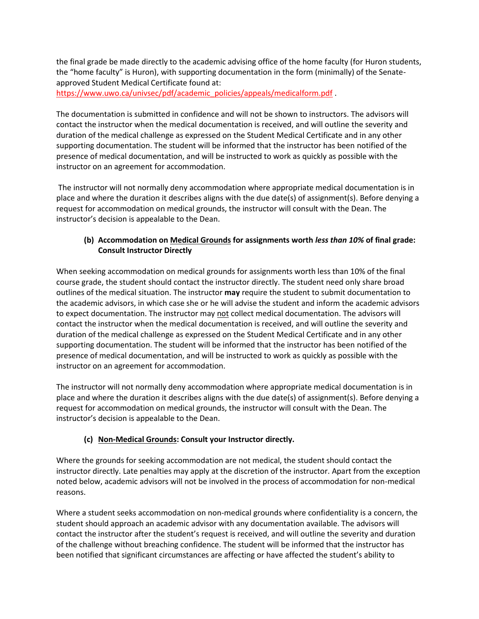the final grade be made directly to the academic advising office of the home faculty (for Huron students, the "home faculty" is Huron), with supporting documentation in the form (minimally) of the Senateapproved Student Medical Certificate found at:

[https://www.uwo.ca/univsec/pdf/academic\\_policies/appeals/medicalform.pdf](https://www.uwo.ca/univsec/pdf/academic_policies/appeals/medicalform.pdf) .

The documentation is submitted in confidence and will not be shown to instructors. The advisors will contact the instructor when the medical documentation is received, and will outline the severity and duration of the medical challenge as expressed on the Student Medical Certificate and in any other supporting documentation. The student will be informed that the instructor has been notified of the presence of medical documentation, and will be instructed to work as quickly as possible with the instructor on an agreement for accommodation.

The instructor will not normally deny accommodation where appropriate medical documentation is in place and where the duration it describes aligns with the due date(s) of assignment(s). Before denying a request for accommodation on medical grounds, the instructor will consult with the Dean. The instructor's decision is appealable to the Dean.

# **(b) Accommodation on Medical Grounds for assignments worth** *less than 10%* **of final grade: Consult Instructor Directly**

When seeking accommodation on medical grounds for assignments worth less than 10% of the final course grade, the student should contact the instructor directly. The student need only share broad outlines of the medical situation. The instructor **may** require the student to submit documentation to the academic advisors, in which case she or he will advise the student and inform the academic advisors to expect documentation. The instructor may not collect medical documentation. The advisors will contact the instructor when the medical documentation is received, and will outline the severity and duration of the medical challenge as expressed on the Student Medical Certificate and in any other supporting documentation. The student will be informed that the instructor has been notified of the presence of medical documentation, and will be instructed to work as quickly as possible with the instructor on an agreement for accommodation.

The instructor will not normally deny accommodation where appropriate medical documentation is in place and where the duration it describes aligns with the due date(s) of assignment(s). Before denying a request for accommodation on medical grounds, the instructor will consult with the Dean. The instructor's decision is appealable to the Dean.

### **(c) Non-Medical Grounds: Consult your Instructor directly.**

Where the grounds for seeking accommodation are not medical, the student should contact the instructor directly. Late penalties may apply at the discretion of the instructor. Apart from the exception noted below, academic advisors will not be involved in the process of accommodation for non-medical reasons.

Where a student seeks accommodation on non-medical grounds where confidentiality is a concern, the student should approach an academic advisor with any documentation available. The advisors will contact the instructor after the student's request is received, and will outline the severity and duration of the challenge without breaching confidence. The student will be informed that the instructor has been notified that significant circumstances are affecting or have affected the student's ability to